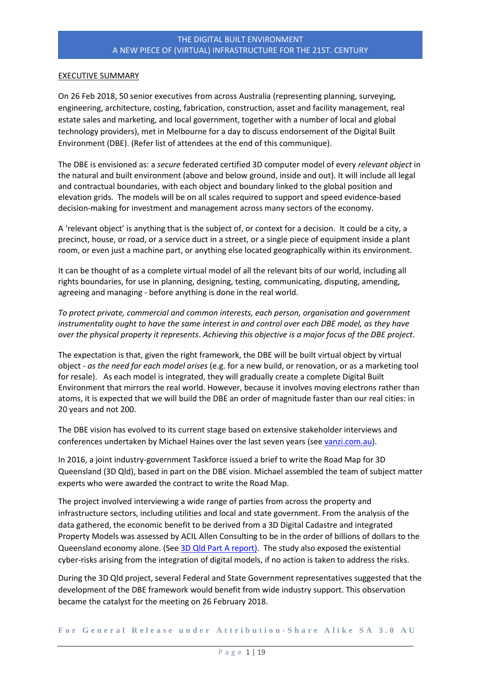#### EXECUTIVE SUMMARY

On 26 Feb 2018, 50 senior executives from across Australia (representing planning, surveying, engineering, architecture, costing, fabrication, construction, asset and facility management, real estate sales and marketing, and local government, together with a number of local and global technology providers), met in Melbourne for a day to discuss endorsement of the Digital Built Environment (DBE). (Refer list of attendees at the end of this communique).

The DBE is envisioned as: a *secure* federated certified 3D computer model of every *relevant object* in the natural and built environment (above and below ground, inside and out). It will include all legal and contractual boundaries, with each object and boundary linked to the global position and elevation grids. The models will be on all scales required to support and speed evidence-based decision-making for investment and management across many sectors of the economy.

A 'relevant object' is anything that is the subject of, or context for a decision. It could be a city, a precinct, house, or road, or a service duct in a street, or a single piece of equipment inside a plant room, or even just a machine part, or anything else located geographically within its environment.

It can be thought of as a complete virtual model of all the relevant bits of our world, including all rights boundaries, for use in planning, designing, testing, communicating, disputing, amending, agreeing and managing - before anything is done in the real world.

*To protect private, commercial and common interests, each person, organisation and government instrumentality ought to have the same interest in and control over each DBE model, as they have over the physical property it represents*. *Achieving this objective is a major focus of the DBE project*.

The expectation is that, given the right framework, the DBE will be built virtual object by virtual object - *as the need for each model arises* (e.g. for a new build, or renovation, or as a marketing tool for resale). As each model is integrated, they will gradually create a complete Digital Built Environment that mirrors the real world. However, because it involves moving electrons rather than atoms, it is expected that we will build the DBE an order of magnitude faster than our real cities: in 20 years and not 200.

The DBE vision has evolved to its current stage based on extensive stakeholder interviews and conferences undertaken by Michael Haines over the last seven years (se[e vanzi.com.au\)](http://vanzi.com.au/).

In 2016, a joint industry-government Taskforce issued a brief to write the Road Map for 3D Queensland (3D Qld), based in part on the DBE vision. Michael assembled the team of subject matter experts who were awarded the contract to write the Road Map.

The project involved interviewing a wide range of parties from across the property and infrastructure sectors, including utilities and local and state government. From the analysis of the data gathered, the economic benefit to be derived from a 3D Digital Cadastre and integrated Property Models was assessed by ACIL Allen Consulting to be in the order of billions of dollars to the Queensland economy alone. (See [3D Qld Part A report\)](http://3dqld.org/wp-content/uploads/2013/06/3D-QLD-Road-Map-Preliminary-Report-6-February-2017_V1.pdf). The study also exposed the existential cyber-risks arising from the integration of digital models, if no action is taken to address the risks.

During the 3D Qld project, several Federal and State Government representatives suggested that the development of the DBE framework would benefit from wide industry support. This observation became the catalyst for the meeting on 26 February 2018.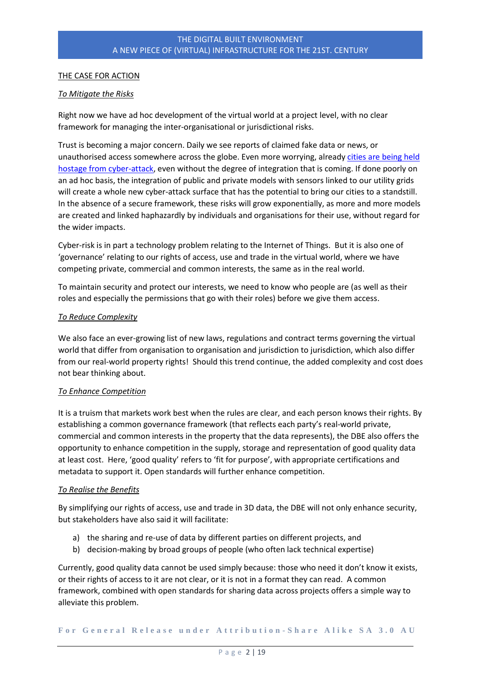# THE CASE FOR ACTION

## *To Mitigate the Risks*

Right now we have ad hoc development of the virtual world at a project level, with no clear framework for managing the inter-organisational or jurisdictional risks.

Trust is becoming a major concern. Daily we see reports of claimed fake data or news, or unauthorised access somewhere across the globe. Even more worrying, already cities are being held [hostage from cyber-attack,](https://www.nytimes.com/2018/03/27/us/cyberattack-atlanta-ransomware.html) even without the degree of integration that is coming. If done poorly on an ad hoc basis, the integration of public and private models with sensors linked to our utility grids will create a whole new cyber-attack surface that has the potential to bring our cities to a standstill. In the absence of a secure framework, these risks will grow exponentially, as more and more models are created and linked haphazardly by individuals and organisations for their use, without regard for the wider impacts.

Cyber-risk is in part a technology problem relating to the Internet of Things. But it is also one of 'governance' relating to our rights of access, use and trade in the virtual world, where we have competing private, commercial and common interests, the same as in the real world.

To maintain security and protect our interests, we need to know who people are (as well as their roles and especially the permissions that go with their roles) before we give them access.

#### *To Reduce Complexity*

We also face an ever-growing list of new laws, regulations and contract terms governing the virtual world that differ from organisation to organisation and jurisdiction to jurisdiction, which also differ from our real-world property rights! Should this trend continue, the added complexity and cost does not bear thinking about.

#### *To Enhance Competition*

It is a truism that markets work best when the rules are clear, and each person knows their rights. By establishing a common governance framework (that reflects each party's real-world private, commercial and common interests in the property that the data represents), the DBE also offers the opportunity to enhance competition in the supply, storage and representation of good quality data at least cost. Here, 'good quality' refers to 'fit for purpose', with appropriate certifications and metadata to support it. Open standards will further enhance competition.

#### *To Realise the Benefits*

By simplifying our rights of access, use and trade in 3D data, the DBE will not only enhance security, but stakeholders have also said it will facilitate:

- a) the sharing and re-use of data by different parties on different projects, and
- b) decision-making by broad groups of people (who often lack technical expertise)

Currently, good quality data cannot be used simply because: those who need it don't know it exists, or their rights of access to it are not clear, or it is not in a format they can read. A common framework, combined with open standards for sharing data across projects offers a simple way to alleviate this problem.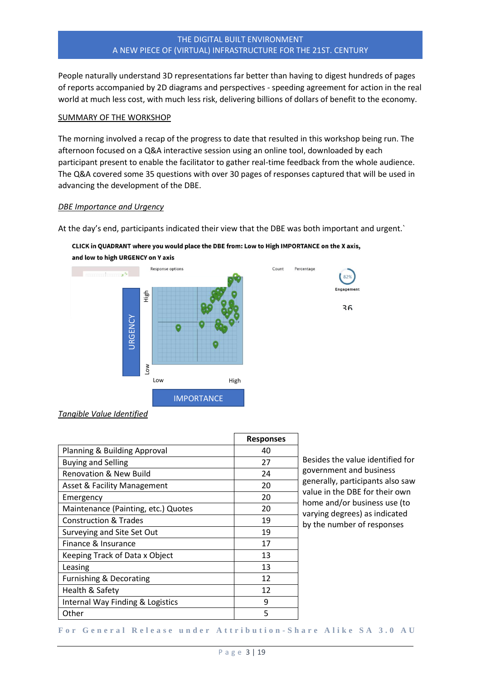People naturally understand 3D representations far better than having to digest hundreds of pages of reports accompanied by 2D diagrams and perspectives - speeding agreement for action in the real world at much less cost, with much less risk, delivering billions of dollars of benefit to the economy.

#### SUMMARY OF THE WORKSHOP

The morning involved a recap of the progress to date that resulted in this workshop being run. The afternoon focused on a Q&A interactive session using an online tool, downloaded by each participant present to enable the facilitator to gather real-time feedback from the whole audience. The Q&A covered some 35 questions with over 30 pages of responses captured that will be used in advancing the development of the DBE.

#### *DBE Importance and Urgency*

At the day's end, participants indicated their view that the DBE was both important and urgent.`



#### CLICK in QUADRANT where you would place the DBE from: Low to High IMPORTANCE on the X axis, and low to high URGENCY on Y axis

*Tangible Value Identified*

|                                     | <b>Responses</b> |
|-------------------------------------|------------------|
| Planning & Building Approval        | 40               |
| <b>Buying and Selling</b>           | 27               |
| <b>Renovation &amp; New Build</b>   | 24               |
| Asset & Facility Management         | 20               |
| Emergency                           | 20               |
| Maintenance (Painting, etc.) Quotes | 20               |
| <b>Construction &amp; Trades</b>    | 19               |
| Surveying and Site Set Out          | 19               |
| Finance & Insurance                 | 17               |
| Keeping Track of Data x Object      | 13               |
| Leasing                             | 13               |
| Furnishing & Decorating             | 12               |
| Health & Safety                     | 12               |
| Internal Way Finding & Logistics    | 9                |
| Other                               | 5                |

Besides the value identified for government and business generally, participants also saw value in the DBE for their own home and/or business use (to varying degrees) as indicated by the number of responses

**F o r G e n e r a l R e l e a s e u n d e r A t t r i b u t i o n - [S h a r e A l i k e S A 3 . 0 A U](https://creativecommons.org/licenses/by-sa/3.0/au/)**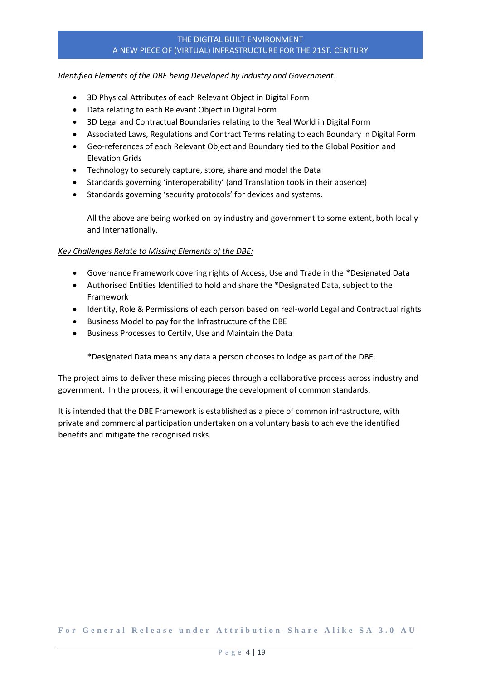## *Identified Elements of the DBE being Developed by Industry and Government:*

- 3D Physical Attributes of each Relevant Object in Digital Form
- Data relating to each Relevant Object in Digital Form
- 3D Legal and Contractual Boundaries relating to the Real World in Digital Form
- Associated Laws, Regulations and Contract Terms relating to each Boundary in Digital Form
- Geo-references of each Relevant Object and Boundary tied to the Global Position and Elevation Grids
- Technology to securely capture, store, share and model the Data
- Standards governing 'interoperability' (and Translation tools in their absence)
- Standards governing 'security protocols' for devices and systems.

All the above are being worked on by industry and government to some extent, both locally and internationally.

# *Key Challenges Relate to Missing Elements of the DBE:*

- Governance Framework covering rights of Access, Use and Trade in the \*Designated Data
- Authorised Entities Identified to hold and share the \*Designated Data, subject to the Framework
- Identity, Role & Permissions of each person based on real-world Legal and Contractual rights
- Business Model to pay for the Infrastructure of the DBE
- Business Processes to Certify, Use and Maintain the Data

\*Designated Data means any data a person chooses to lodge as part of the DBE.

The project aims to deliver these missing pieces through a collaborative process across industry and government. In the process, it will encourage the development of common standards.

It is intended that the DBE Framework is established as a piece of common infrastructure, with private and commercial participation undertaken on a voluntary basis to achieve the identified benefits and mitigate the recognised risks.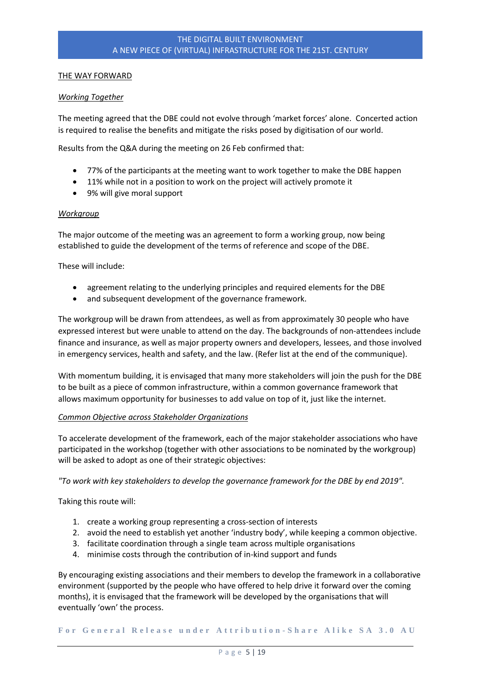## THE WAY FORWARD

## *Working Together*

The meeting agreed that the DBE could not evolve through 'market forces' alone. Concerted action is required to realise the benefits and mitigate the risks posed by digitisation of our world.

Results from the Q&A during the meeting on 26 Feb confirmed that:

- 77% of the participants at the meeting want to work together to make the DBE happen
- 11% while not in a position to work on the project will actively promote it
- 9% will give moral support

#### *Workgroup*

The major outcome of the meeting was an agreement to form a working group, now being established to guide the development of the terms of reference and scope of the DBE.

These will include:

- agreement relating to the underlying principles and required elements for the DBE
- and subsequent development of the governance framework.

The workgroup will be drawn from attendees, as well as from approximately 30 people who have expressed interest but were unable to attend on the day. The backgrounds of non-attendees include finance and insurance, as well as major property owners and developers, lessees, and those involved in emergency services, health and safety, and the law. (Refer list at the end of the communique).

With momentum building, it is envisaged that many more stakeholders will join the push for the DBE to be built as a piece of common infrastructure, within a common governance framework that allows maximum opportunity for businesses to add value on top of it, just like the internet.

#### *Common Objective across Stakeholder Organizations*

To accelerate development of the framework, each of the major stakeholder associations who have participated in the workshop (together with other associations to be nominated by the workgroup) will be asked to adopt as one of their strategic objectives:

*"To work with key stakeholders to develop the governance framework for the DBE by end 2019".*

Taking this route will:

- 1. create a working group representing a cross-section of interests
- 2. avoid the need to establish yet another 'industry body', while keeping a common objective.
- 3. facilitate coordination through a single team across multiple organisations
- 4. minimise costs through the contribution of in-kind support and funds

By encouraging existing associations and their members to develop the framework in a collaborative environment (supported by the people who have offered to help drive it forward over the coming months), it is envisaged that the framework will be developed by the organisations that will eventually 'own' the process.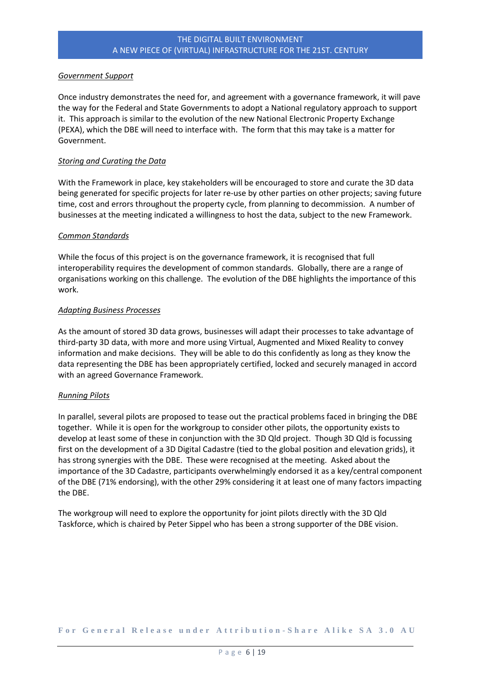## *Government Support*

Once industry demonstrates the need for, and agreement with a governance framework, it will pave the way for the Federal and State Governments to adopt a National regulatory approach to support it. This approach is similar to the evolution of the new National Electronic Property Exchange (PEXA), which the DBE will need to interface with. The form that this may take is a matter for Government.

## *Storing and Curating the Data*

With the Framework in place, key stakeholders will be encouraged to store and curate the 3D data being generated for specific projects for later re-use by other parties on other projects; saving future time, cost and errors throughout the property cycle, from planning to decommission. A number of businesses at the meeting indicated a willingness to host the data, subject to the new Framework.

# *Common Standards*

While the focus of this project is on the governance framework, it is recognised that full interoperability requires the development of common standards. Globally, there are a range of organisations working on this challenge. The evolution of the DBE highlights the importance of this work.

#### *Adapting Business Processes*

As the amount of stored 3D data grows, businesses will adapt their processes to take advantage of third-party 3D data, with more and more using Virtual, Augmented and Mixed Reality to convey information and make decisions. They will be able to do this confidently as long as they know the data representing the DBE has been appropriately certified, locked and securely managed in accord with an agreed Governance Framework.

#### *Running Pilots*

In parallel, several pilots are proposed to tease out the practical problems faced in bringing the DBE together. While it is open for the workgroup to consider other pilots, the opportunity exists to develop at least some of these in conjunction with the 3D Qld project. Though 3D Qld is focussing first on the development of a 3D Digital Cadastre (tied to the global position and elevation grids), it has strong synergies with the DBE. These were recognised at the meeting. Asked about the importance of the 3D Cadastre, participants overwhelmingly endorsed it as a key/central component of the DBE (71% endorsing), with the other 29% considering it at least one of many factors impacting the DBE.

The workgroup will need to explore the opportunity for joint pilots directly with the 3D Qld Taskforce, which is chaired by Peter Sippel who has been a strong supporter of the DBE vision.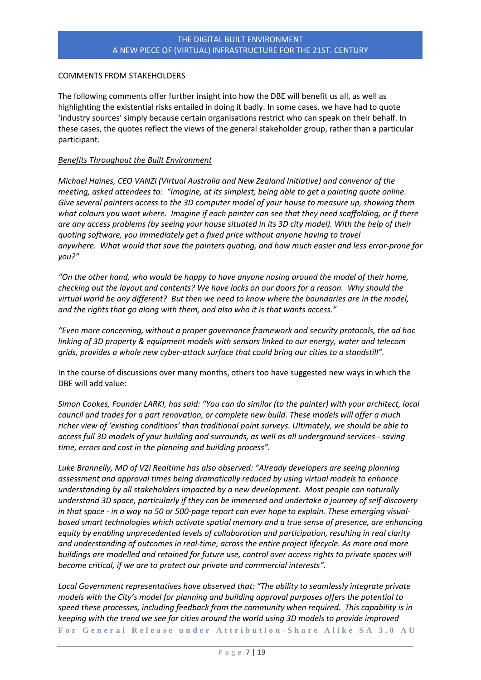## COMMENTS FROM STAKEHOLDERS

The following comments offer further insight into how the DBE will benefit us all, as well as highlighting the existential risks entailed in doing it badly. In some cases, we have had to quote 'industry sources' simply because certain organisations restrict who can speak on their behalf. In these cases, the quotes reflect the views of the general stakeholder group, rather than a particular participant.

## *Benefits Throughout the Built Environment*

*Michael Haines, CEO VANZI (Virtual Australia and New Zealand Initiative) and convenor of the meeting, asked attendees to: "Imagine, at its simplest, being able to get a painting quote online. Give several painters access to the 3D computer model of your house to measure up, showing them what colours you want where. Imagine if each painter can see that they need scaffolding, or if there are any access problems (by seeing your house situated in its 3D city model). With the help of their quoting software, you immediately get a fixed price without anyone having to travel anywhere. What would that save the painters quoting, and how much easier and less error-prone for you?"*

*"On the other hand, who would be happy to have anyone nosing around the model of their home, checking out the layout and contents? We have locks on our doors for a reason. Why should the virtual world be any different? But then we need to know where the boundaries are in the model, and the rights that go along with them, and also who it is that wants access."*

*"Even more concerning, without a proper governance framework and security protocols, the ad hoc linking of 3D property & equipment models with sensors linked to our energy, water and telecom grids, provides a whole new cyber-attack surface that could bring our cities to a standstill".*

In the course of discussions over many months, others too have suggested new ways in which the DBE will add value:

*Simon Cookes, Founder LARKI, has said: "You can do similar (to the painter) with your architect, local council and trades for a part renovation, or complete new build. These models will offer a much richer view of 'existing conditions' than traditional point surveys. Ultimately, we should be able to access full 3D models of your building and surrounds, as well as all underground services - saving time, errors and cost in the planning and building process".*

*Luke Brannelly, MD of V2i Realtime has also observed: "Already developers are seeing planning assessment and approval times being dramatically reduced by using virtual models to enhance understanding by all stakeholders impacted by a new development. Most people can naturally understand 3D space, particularly if they can be immersed and undertake a journey of self-discovery in that space - in a way no 50 or 500-page report can ever hope to explain. These emerging visualbased smart technologies which activate spatial memory and a true sense of presence, are enhancing equity by enabling unprecedented levels of collaboration and participation, resulting in real clarity and understanding of outcomes in real-time, across the entire project lifecycle. As more and more buildings are modelled and retained for future use, control over access rights to private spaces will become critical, if we are to protect our private and commercial interests".*

**F o r G e n e r a l R e l e a s e u n d e r A t t r i b u t i o n - [S h a r e A l i k e S A 3 . 0 A U](https://creativecommons.org/licenses/by-sa/3.0/au/)** *Local Government representatives have observed that: "The ability to seamlessly integrate private models with the City's model for planning and building approval purposes offers the potential to speed these processes, including feedback from the community when required. This capability is in keeping with the trend we see for cities around the world using 3D models to provide improved*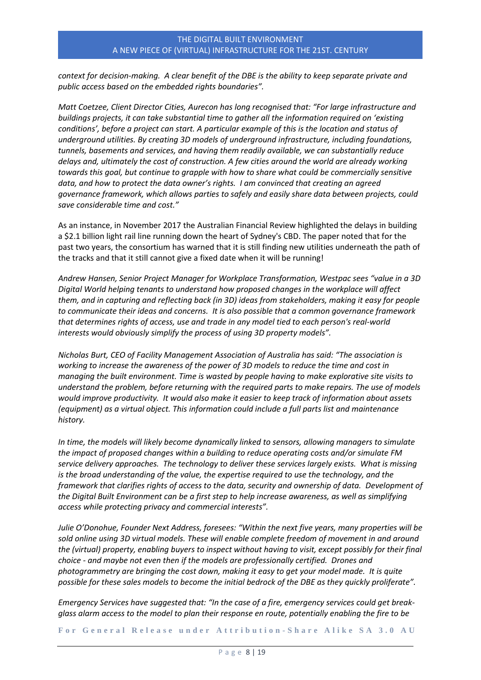*context for decision-making. A clear benefit of the DBE is the ability to keep separate private and public access based on the embedded rights boundaries".* 

*Matt Coetzee, Client Director Cities, Aurecon has long recognised that: "For large infrastructure and buildings projects, it can take substantial time to gather all the information required on 'existing conditions', before a project can start. A particular example of this is the location and status of underground utilities. By creating 3D models of underground infrastructure, including foundations, tunnels, basements and services, and having them readily available, we can substantially reduce delays and, ultimately the cost of construction. A few cities around the world are already working towards this goal, but continue to grapple with how to share what could be commercially sensitive data, and how to protect the data owner's rights. I am convinced that creating an agreed governance framework, which allows parties to safely and easily share data between projects, could save considerable time and cost."*

As an instance, in November 2017 the Australian Financial Review highlighted the delays in building a \$2.1 billion light rail line running down the heart of Sydney's CBD. The paper noted that for the past two years, the consortium has warned that it is still finding new utilities underneath the path of the tracks and that it still cannot give a fixed date when it will be running!

*Andrew Hansen, Senior Project Manager for Workplace Transformation, Westpac sees "value in a 3D Digital World helping tenants to understand how proposed changes in the workplace will affect them, and in capturing and reflecting back (in 3D) ideas from stakeholders, making it easy for people to communicate their ideas and concerns. It is also possible that a common governance framework that determines rights of access, use and trade in any model tied to each person's real-world interests would obviously simplify the process of using 3D property models".*

*Nicholas Burt, CEO of Facility Management Association of Australia has said: "The association is working to increase the awareness of the power of 3D models to reduce the time and cost in managing the built environment. Time is wasted by people having to make explorative site visits to understand the problem, before returning with the required parts to make repairs. The use of models would improve productivity. It would also make it easier to keep track of information about assets (equipment) as a virtual object. This information could include a full parts list and maintenance history.* 

*In time, the models will likely become dynamically linked to sensors, allowing managers to simulate the impact of proposed changes within a building to reduce operating costs and/or simulate FM service delivery approaches. The technology to deliver these services largely exists. What is missing is the broad understanding of the value, the expertise required to use the technology, and the framework that clarifies rights of access to the data, security and ownership of data. Development of the Digital Built Environment can be a first step to help increase awareness, as well as simplifying access while protecting privacy and commercial interests".*

*Julie O'Donohue, Founder Next Address, foresees: "Within the next five years, many properties will be sold online using 3D virtual models. These will enable complete freedom of movement in and around the (virtual) property, enabling buyers to inspect without having to visit, except possibly for their final choice - and maybe not even then if the models are professionally certified. Drones and photogrammetry are bringing the cost down, making it easy to get your model made. It is quite possible for these sales models to become the initial bedrock of the DBE as they quickly proliferate".*

*Emergency Services have suggested that: "In the case of a fire, emergency services could get breakglass alarm access to the model to plan their response en route, potentially enabling the fire to be*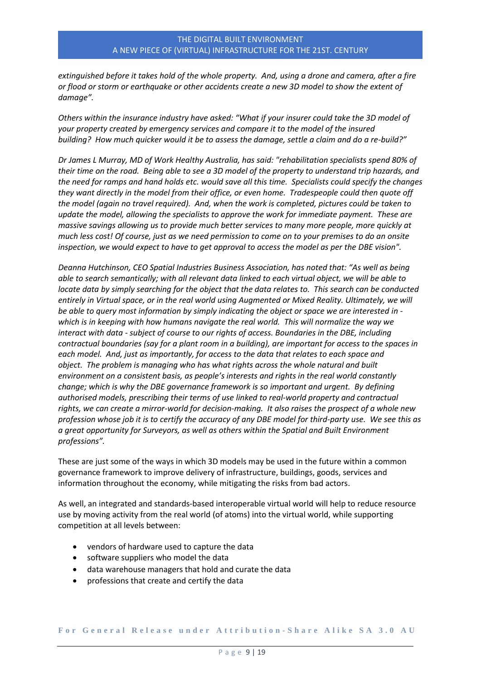*extinguished before it takes hold of the whole property. And, using a drone and camera, after a fire or flood or storm or earthquake or other accidents create a new 3D model to show the extent of damage".*

*Others within the insurance industry have asked: "What if your insurer could take the 3D model of your property created by emergency services and compare it to the model of the insured building? How much quicker would it be to assess the damage, settle a claim and do a re-build?"*

*Dr James L Murray, MD of Work Healthy Australia, has said: "rehabilitation specialists spend 80% of their time on the road. Being able to see a 3D model of the property to understand trip hazards, and the need for ramps and hand holds etc. would save all this time. Specialists could specify the changes they want directly in the model from their office, or even home. Tradespeople could then quote off the model (again no travel required). And, when the work is completed, pictures could be taken to update the model, allowing the specialists to approve the work for immediate payment. These are massive savings allowing us to provide much better services to many more people, more quickly at much less cost! Of course, just as we need permission to come on to your premises to do an onsite inspection, we would expect to have to get approval to access the model as per the DBE vision".*

*Deanna Hutchinson, CEO Spatial Industries Business Association, has noted that: "As well as being able to search semantically; with all relevant data linked to each virtual object, we will be able to locate data by simply searching for the object that the data relates to. This search can be conducted entirely in Virtual space, or in the real world using Augmented or Mixed Reality. Ultimately, we will be able to query most information by simply indicating the object or space we are interested in which is in keeping with how humans navigate the real world. This will normalize the way we interact with data - subject of course to our rights of access. Boundaries in the DBE, including contractual boundaries (say for a plant room in a building), are important for access to the spaces in each model. And, just as importantly, for access to the data that relates to each space and object. The problem is managing who has what rights across the whole natural and built environment on a consistent basis, as people's interests and rights in the real world constantly change; which is why the DBE governance framework is so important and urgent. By defining authorised models, prescribing their terms of use linked to real-world property and contractual rights, we can create a mirror-world for decision-making. It also raises the prospect of a whole new profession whose job it is to certify the accuracy of any DBE model for third-party use. We see this as a great opportunity for Surveyors, as well as others within the Spatial and Built Environment professions".*

These are just some of the ways in which 3D models may be used in the future within a common governance framework to improve delivery of infrastructure, buildings, goods, services and information throughout the economy, while mitigating the risks from bad actors.

As well, an integrated and standards-based interoperable virtual world will help to reduce resource use by moving activity from the real world (of atoms) into the virtual world, while supporting competition at all levels between:

- vendors of hardware used to capture the data
- software suppliers who model the data
- data warehouse managers that hold and curate the data
- professions that create and certify the data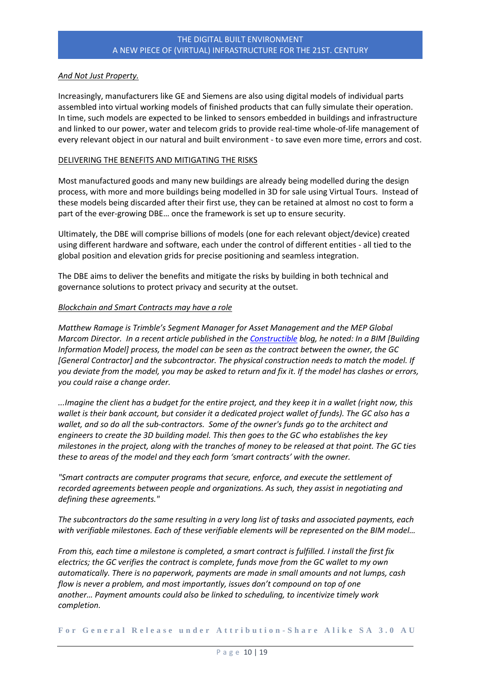## *And Not Just Property.*

Increasingly, manufacturers like GE and Siemens are also using digital models of individual parts assembled into virtual working models of finished products that can fully simulate their operation. In time, such models are expected to be linked to sensors embedded in buildings and infrastructure and linked to our power, water and telecom grids to provide real-time whole-of-life management of every relevant object in our natural and built environment - to save even more time, errors and cost.

#### DELIVERING THE BENEFITS AND MITIGATING THE RISKS

Most manufactured goods and many new buildings are already being modelled during the design process, with more and more buildings being modelled in 3D for sale using Virtual Tours. Instead of these models being discarded after their first use, they can be retained at almost no cost to form a part of the ever-growing DBE… once the framework is set up to ensure security.

Ultimately, the DBE will comprise billions of models (one for each relevant object/device) created using different hardware and software, each under the control of different entities - all tied to the global position and elevation grids for precise positioning and seamless integration.

The DBE aims to deliver the benefits and mitigate the risks by building in both technical and governance solutions to protect privacy and security at the outset.

#### *Blockchain and Smart Contracts may have a role*

*Matthew Ramage is Trimble's Segment Manager for Asset Management and the MEP Global Marcom Director. In a recent article published in the [Constructible](http://constructible.trimble.com/construction-industry/from-bim-to-blockchain-in-construction-what-you-need-to-know) blog, he noted: In a BIM [Building Information Model] process, the model can be seen as the contract between the owner, the GC [General Contractor] and the subcontractor. The physical construction needs to match the model. If you deviate from the model, you may be asked to return and fix it. If the model has clashes or errors, you could raise a change order.* 

*...Imagine the client has a budget for the entire project, and they keep it in a wallet (right now, this wallet is their bank account, but consider it a dedicated project wallet of funds). The GC also has a wallet, and so do all the sub-contractors. Some of the owner's funds go to the architect and engineers to create the 3D building model. This then goes to the GC who establishes the key milestones in the project, along with the tranches of money to be released at that point. The GC ties these to areas of the model and they each form 'smart contracts' with the owner.* 

*"Smart contracts are computer programs that secure, enforce, and execute the settlement of recorded agreements between people and organizations. As such, they assist in negotiating and defining these agreements."*

*The subcontractors do the same resulting in a very long list of tasks and associated payments, each with verifiable milestones. Each of these verifiable elements will be represented on the BIM model…*

*From this, each time a milestone is completed, a smart contract is fulfilled. I install the first fix electrics; the GC verifies the contract is complete, funds move from the GC wallet to my own automatically. There is no paperwork, payments are made in small amounts and not lumps, cash flow is never a problem, and most importantly, issues don't compound on top of one another… Payment amounts could also be linked to scheduling, to incentivize timely work completion.*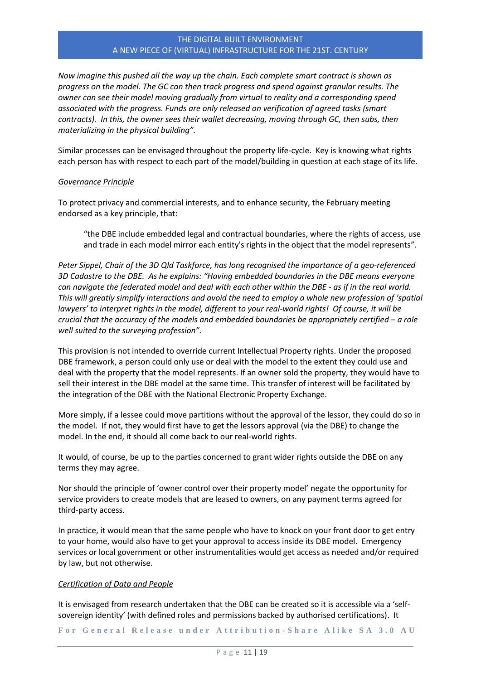*Now imagine this pushed all the way up the chain. Each complete smart contract is shown as progress on the model. The GC can then track progress and spend against granular results. The owner can see their model moving gradually from virtual to reality and a corresponding spend associated with the progress. Funds are only released on verification of agreed tasks (smart contracts). In this, the owner sees their wallet decreasing, moving through GC, then subs, then materializing in the physical building".*

Similar processes can be envisaged throughout the property life-cycle. Key is knowing what rights each person has with respect to each part of the model/building in question at each stage of its life.

#### *Governance Principle*

To protect privacy and commercial interests, and to enhance security, the February meeting endorsed as a key principle, that:

"the DBE include embedded legal and contractual boundaries, where the rights of access, use and trade in each model mirror each entity's rights in the object that the model represents".

*Peter Sippel, Chair of the 3D Qld Taskforce, has long recognised the importance of a geo-referenced 3D Cadastre to the DBE. As he explains: "Having embedded boundaries in the DBE means everyone can navigate the federated model and deal with each other within the DBE - as if in the real world. This will greatly simplify interactions and avoid the need to employ a whole new profession of 'spatial lawyers' to interpret rights in the model, different to your real-world rights! Of course, it will be crucial that the accuracy of the models and embedded boundaries be appropriately certified – a role well suited to the surveying profession".*

This provision is not intended to override current Intellectual Property rights. Under the proposed DBE framework, a person could only use or deal with the model to the extent they could use and deal with the property that the model represents. If an owner sold the property, they would have to sell their interest in the DBE model at the same time. This transfer of interest will be facilitated by the integration of the DBE with the National Electronic Property Exchange.

More simply, if a lessee could move partitions without the approval of the lessor, they could do so in the model. If not, they would first have to get the lessors approval (via the DBE) to change the model. In the end, it should all come back to our real-world rights.

It would, of course, be up to the parties concerned to grant wider rights outside the DBE on any terms they may agree.

Nor should the principle of 'owner control over their property model' negate the opportunity for service providers to create models that are leased to owners, on any payment terms agreed for third-party access.

In practice, it would mean that the same people who have to knock on your front door to get entry to your home, would also have to get your approval to access inside its DBE model. Emergency services or local government or other instrumentalities would get access as needed and/or required by law, but not otherwise.

#### *Certification of Data and People*

It is envisaged from research undertaken that the DBE can be created so it is accessible via a 'selfsovereign identity' (with defined roles and permissions backed by authorised certifications). It

**F o r G e n e r a l R e l e a s e u n d e r A t t r i b u t i o n - [S h a r e A l i k e S A 3 . 0 A U](https://creativecommons.org/licenses/by-sa/3.0/au/)**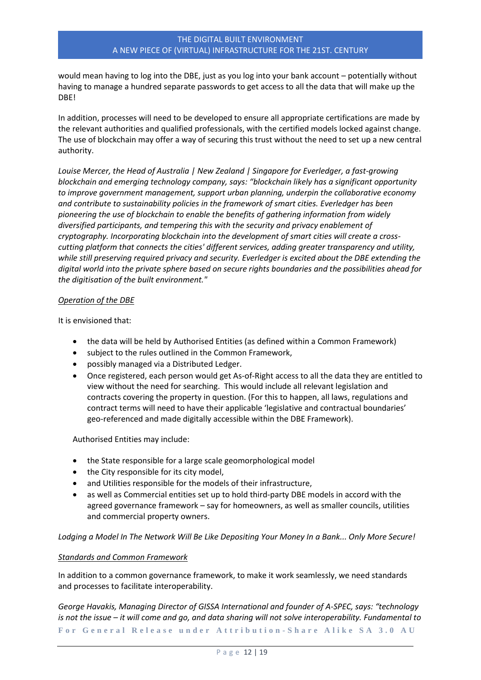would mean having to log into the DBE, just as you log into your bank account – potentially without having to manage a hundred separate passwords to get access to all the data that will make up the DBE!

In addition, processes will need to be developed to ensure all appropriate certifications are made by the relevant authorities and qualified professionals, with the certified models locked against change. The use of blockchain may offer a way of securing this trust without the need to set up a new central authority.

*Louise Mercer, the Head of Australia | New Zealand | Singapore for Everledger, a fast-growing blockchain and emerging technology company, says: "blockchain likely has a significant opportunity to improve government management, support urban planning, underpin the collaborative economy and contribute to sustainability policies in the framework of smart cities. Everledger has been pioneering the use of blockchain to enable the benefits of gathering information from widely diversified participants, and tempering this with the security and privacy enablement of cryptography. Incorporating blockchain into the development of smart cities will create a crosscutting platform that connects the cities' different services, adding greater transparency and utility, while still preserving required privacy and security. Everledger is excited about the DBE extending the digital world into the private sphere based on secure rights boundaries and the possibilities ahead for the digitisation of the built environment."*

#### *Operation of the DBE*

It is envisioned that:

- the data will be held by Authorised Entities (as defined within a Common Framework)
- subject to the rules outlined in the Common Framework,
- possibly managed via a Distributed Ledger.
- Once registered, each person would get As-of-Right access to all the data they are entitled to view without the need for searching. This would include all relevant legislation and contracts covering the property in question. (For this to happen, all laws, regulations and contract terms will need to have their applicable 'legislative and contractual boundaries' geo-referenced and made digitally accessible within the DBE Framework).

Authorised Entities may include:

- the State responsible for a large scale geomorphological model
- the City responsible for its city model,
- and Utilities responsible for the models of their infrastructure,
- as well as Commercial entities set up to hold third-party DBE models in accord with the agreed governance framework – say for homeowners, as well as smaller councils, utilities and commercial property owners.

*Lodging a Model In The Network Will Be Like Depositing Your Money In a Bank... Only More Secure!*

#### *Standards and Common Framework*

In addition to a common governance framework, to make it work seamlessly, we need standards and processes to facilitate interoperability.

**F o r G e n e r a l R e l e a s e u n d e r A t t r i b u t i o n - [S h a r e A l i k e S A 3 . 0 A U](https://creativecommons.org/licenses/by-sa/3.0/au/)** *George Havakis, Managing Director of GISSA International and founder of A-SPEC, says: "technology is not the issue – it will come and go, and data sharing will not solve interoperability. Fundamental to*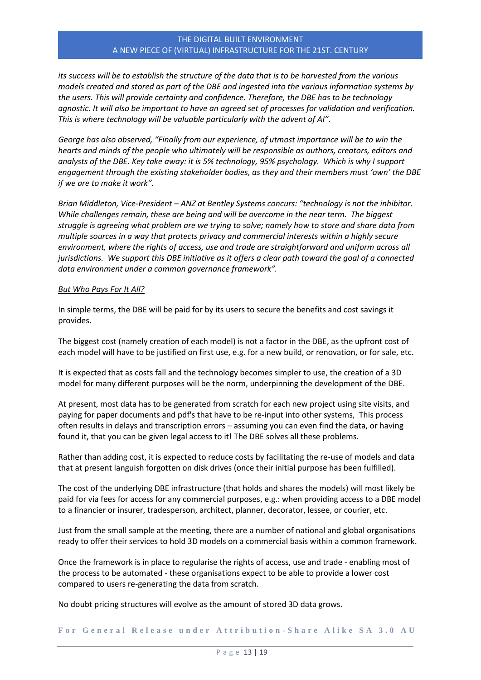*its success will be to establish the structure of the data that is to be harvested from the various models created and stored as part of the DBE and ingested into the various information systems by the users. This will provide certainty and confidence. Therefore, the DBE has to be technology agnostic. It will also be important to have an agreed set of processes for validation and verification. This is where technology will be valuable particularly with the advent of AI".*

*George has also observed, "Finally from our experience, of utmost importance will be to win the hearts and minds of the people who ultimately will be responsible as authors, creators, editors and analysts of the DBE. Key take away: it is 5% technology, 95% psychology. Which is why I support engagement through the existing stakeholder bodies, as they and their members must 'own' the DBE if we are to make it work".*

*Brian Middleton, Vice-President – ANZ at Bentley Systems concurs: "technology is not the inhibitor. While challenges remain, these are being and will be overcome in the near term. The biggest struggle is agreeing what problem are we trying to solve; namely how to store and share data from multiple sources in a way that protects privacy and commercial interests within a highly secure environment, where the rights of access, use and trade are straightforward and uniform across all jurisdictions. We support this DBE initiative as it offers a clear path toward the goal of a connected data environment under a common governance framework".*

#### *But Who Pays For It All?*

In simple terms, the DBE will be paid for by its users to secure the benefits and cost savings it provides.

The biggest cost (namely creation of each model) is not a factor in the DBE, as the upfront cost of each model will have to be justified on first use, e.g. for a new build, or renovation, or for sale, etc.

It is expected that as costs fall and the technology becomes simpler to use, the creation of a 3D model for many different purposes will be the norm, underpinning the development of the DBE.

At present, most data has to be generated from scratch for each new project using site visits, and paying for paper documents and pdf's that have to be re-input into other systems, This process often results in delays and transcription errors – assuming you can even find the data, or having found it, that you can be given legal access to it! The DBE solves all these problems.

Rather than adding cost, it is expected to reduce costs by facilitating the re-use of models and data that at present languish forgotten on disk drives (once their initial purpose has been fulfilled).

The cost of the underlying DBE infrastructure (that holds and shares the models) will most likely be paid for via fees for access for any commercial purposes, e.g.: when providing access to a DBE model to a financier or insurer, tradesperson, architect, planner, decorator, lessee, or courier, etc.

Just from the small sample at the meeting, there are a number of national and global organisations ready to offer their services to hold 3D models on a commercial basis within a common framework.

Once the framework is in place to regularise the rights of access, use and trade - enabling most of the process to be automated - these organisations expect to be able to provide a lower cost compared to users re-generating the data from scratch.

No doubt pricing structures will evolve as the amount of stored 3D data grows.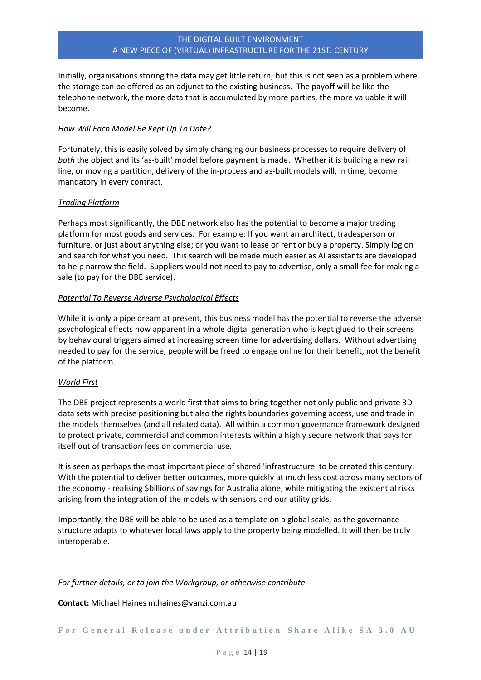Initially, organisations storing the data may get little return, but this is not seen as a problem where the storage can be offered as an adjunct to the existing business. The payoff will be like the telephone network, the more data that is accumulated by more parties, the more valuable it will become.

# *How Will Each Model Be Kept Up To Date?*

Fortunately, this is easily solved by simply changing our business processes to require delivery of *both* the object and its 'as-built' model before payment is made. Whether it is building a new rail line, or moving a partition, delivery of the in-process and as-built models will, in time, become mandatory in every contract.

# *Trading Platform*

Perhaps most significantly, the DBE network also has the potential to become a major trading platform for most goods and services. For example: If you want an architect, tradesperson or furniture, or just about anything else; or you want to lease or rent or buy a property. Simply log on and search for what you need. This search will be made much easier as AI assistants are developed to help narrow the field. Suppliers would not need to pay to advertise, only a small fee for making a sale (to pay for the DBE service).

#### *Potential To Reverse Adverse Psychological Effects*

While it is only a pipe dream at present, this business model has the potential to reverse the adverse psychological effects now apparent in a whole digital generation who is kept glued to their screens by behavioural triggers aimed at increasing screen time for advertising dollars. Without advertising needed to pay for the service, people will be freed to engage online for their benefit, not the benefit of the platform.

#### *World First*

The DBE project represents a world first that aims to bring together not only public and private 3D data sets with precise positioning but also the rights boundaries governing access, use and trade in the models themselves (and all related data). All within a common governance framework designed to protect private, commercial and common interests within a highly secure network that pays for itself out of transaction fees on commercial use.

It is seen as perhaps the most important piece of shared 'infrastructure' to be created this century. With the potential to deliver better outcomes, more quickly at much less cost across many sectors of the economy - realising \$billions of savings for Australia alone, while mitigating the existential risks arising from the integration of the models with sensors and our utility grids.

Importantly, the DBE will be able to be used as a template on a global scale, as the governance structure adapts to whatever local laws apply to the property being modelled. It will then be truly interoperable.

#### *For further details, or to join the Workgroup, or otherwise contribute*

**Contact:** Michael Haines m.haines@vanzi.com.au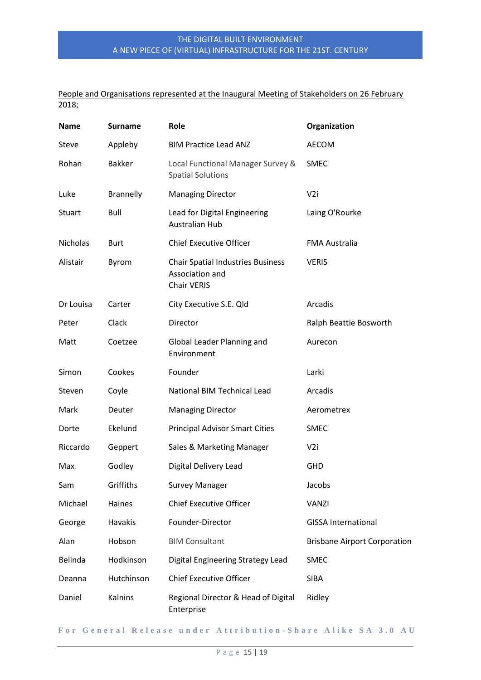# People and Organisations represented at the Inaugural Meeting of Stakeholders on 26 February 2018;

| <b>Name</b>     | <b>Surname</b>   | Role                                                                              | Organization                        |
|-----------------|------------------|-----------------------------------------------------------------------------------|-------------------------------------|
| Steve           | Appleby          | <b>BIM Practice Lead ANZ</b>                                                      | <b>AECOM</b>                        |
| Rohan           | <b>Bakker</b>    | Local Functional Manager Survey &<br><b>Spatial Solutions</b>                     | <b>SMEC</b>                         |
| Luke            | <b>Brannelly</b> | <b>Managing Director</b>                                                          | V <sub>2i</sub>                     |
| Stuart          | Bull             | Lead for Digital Engineering<br><b>Australian Hub</b>                             | Laing O'Rourke                      |
| <b>Nicholas</b> | <b>Burt</b>      | <b>Chief Executive Officer</b>                                                    | <b>FMA Australia</b>                |
| Alistair        | Byrom            | <b>Chair Spatial Industries Business</b><br>Association and<br><b>Chair VERIS</b> | <b>VERIS</b>                        |
| Dr Louisa       | Carter           | City Executive S.E. Qld                                                           | Arcadis                             |
| Peter           | Clack            | Director                                                                          | Ralph Beattie Bosworth              |
| Matt            | Coetzee          | Global Leader Planning and<br>Environment                                         | Aurecon                             |
| Simon           | Cookes           | Founder                                                                           | Larki                               |
| Steven          | Coyle            | <b>National BIM Technical Lead</b>                                                | Arcadis                             |
| Mark            | Deuter           | <b>Managing Director</b>                                                          | Aerometrex                          |
| Dorte           | Ekelund          | <b>Principal Advisor Smart Cities</b>                                             | <b>SMEC</b>                         |
| Riccardo        | Geppert          | Sales & Marketing Manager                                                         | V <sub>2i</sub>                     |
| Max             | Godley           | <b>Digital Delivery Lead</b>                                                      | <b>GHD</b>                          |
| Sam             | Griffiths        | <b>Survey Manager</b>                                                             | Jacobs                              |
| Michael         | Haines           | <b>Chief Executive Officer</b>                                                    | <b>VANZI</b>                        |
| George          | <b>Havakis</b>   | Founder-Director                                                                  | <b>GISSA International</b>          |
| Alan            | Hobson           | <b>BIM Consultant</b>                                                             | <b>Brisbane Airport Corporation</b> |
| Belinda         | Hodkinson        | Digital Engineering Strategy Lead                                                 | <b>SMEC</b>                         |
| Deanna          | Hutchinson       | <b>Chief Executive Officer</b>                                                    | <b>SIBA</b>                         |
| Daniel          | Kalnins          | Regional Director & Head of Digital<br>Enterprise                                 | Ridley                              |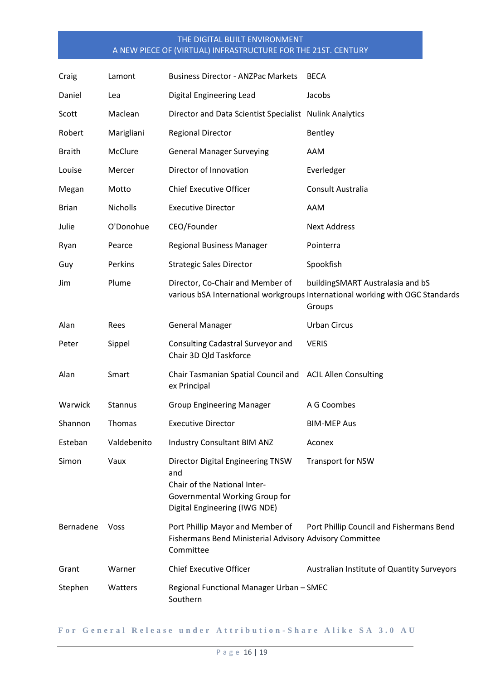| Craig         | Lamont      | <b>Business Director - ANZPac Markets</b>                                                                                                   | <b>BECA</b>                                                                                                                 |
|---------------|-------------|---------------------------------------------------------------------------------------------------------------------------------------------|-----------------------------------------------------------------------------------------------------------------------------|
| Daniel        | Lea         | Digital Engineering Lead                                                                                                                    | Jacobs                                                                                                                      |
| Scott         | Maclean     | Director and Data Scientist Specialist Nulink Analytics                                                                                     |                                                                                                                             |
| Robert        | Marigliani  | <b>Regional Director</b>                                                                                                                    | Bentley                                                                                                                     |
| <b>Braith</b> | McClure     | <b>General Manager Surveying</b>                                                                                                            | AAM                                                                                                                         |
| Louise        | Mercer      | Director of Innovation                                                                                                                      | Everledger                                                                                                                  |
| Megan         | Motto       | <b>Chief Executive Officer</b>                                                                                                              | Consult Australia                                                                                                           |
| <b>Brian</b>  | Nicholls    | <b>Executive Director</b>                                                                                                                   | AAM                                                                                                                         |
| Julie         | O'Donohue   | CEO/Founder                                                                                                                                 | <b>Next Address</b>                                                                                                         |
| Ryan          | Pearce      | <b>Regional Business Manager</b>                                                                                                            | Pointerra                                                                                                                   |
| Guy           | Perkins     | <b>Strategic Sales Director</b>                                                                                                             | Spookfish                                                                                                                   |
| Jim           | Plume       | Director, Co-Chair and Member of                                                                                                            | buildingSMART Australasia and bS<br>various bSA International workgroups International working with OGC Standards<br>Groups |
| Alan          | Rees        | <b>General Manager</b>                                                                                                                      | <b>Urban Circus</b>                                                                                                         |
| Peter         | Sippel      | Consulting Cadastral Surveyor and<br>Chair 3D Qld Taskforce                                                                                 | <b>VERIS</b>                                                                                                                |
| Alan          | Smart       | Chair Tasmanian Spatial Council and ACIL Allen Consulting<br>ex Principal                                                                   |                                                                                                                             |
| Warwick       | Stannus     | <b>Group Engineering Manager</b>                                                                                                            | A G Coombes                                                                                                                 |
| Shannon       | Thomas      | <b>Executive Director</b>                                                                                                                   | <b>BIM-MEP Aus</b>                                                                                                          |
| Esteban       | Valdebenito | Industry Consultant BIM ANZ                                                                                                                 | Aconex                                                                                                                      |
| Simon         | Vaux        | Director Digital Engineering TNSW<br>and<br>Chair of the National Inter-<br>Governmental Working Group for<br>Digital Engineering (IWG NDE) | <b>Transport for NSW</b>                                                                                                    |
| Bernadene     | <b>Voss</b> | Port Phillip Mayor and Member of<br>Fishermans Bend Ministerial Advisory Advisory Committee<br>Committee                                    | Port Phillip Council and Fishermans Bend                                                                                    |
| Grant         | Warner      | <b>Chief Executive Officer</b>                                                                                                              | Australian Institute of Quantity Surveyors                                                                                  |
| Stephen       | Watters     | Regional Functional Manager Urban - SMEC<br>Southern                                                                                        |                                                                                                                             |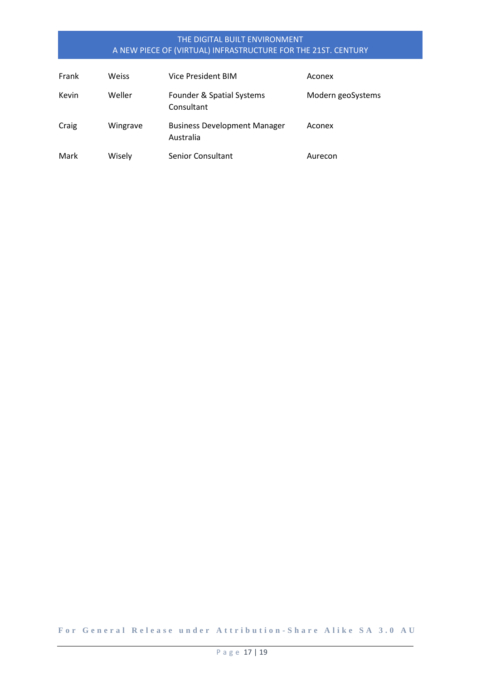| Frank | Weiss    | Vice President BIM                               | Aconex            |
|-------|----------|--------------------------------------------------|-------------------|
| Kevin | Weller   | Founder & Spatial Systems<br>Consultant          | Modern geoSystems |
| Craig | Wingrave | <b>Business Development Manager</b><br>Australia | Aconex            |
| Mark  | Wisely   | Senior Consultant                                | Aurecon           |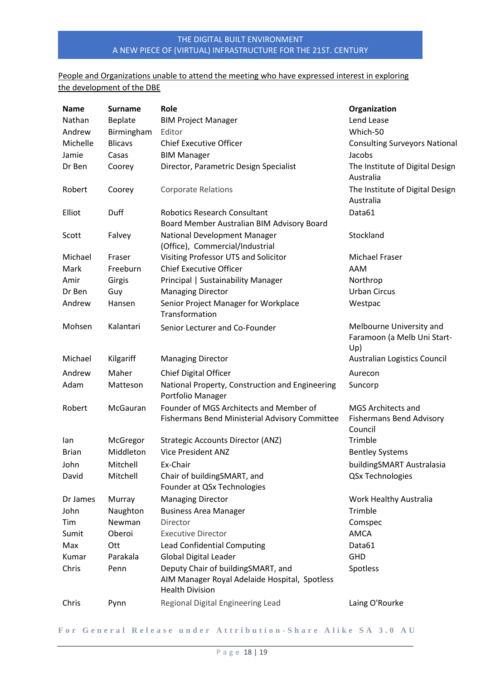# People and Organizations unable to attend the meeting who have expressed interest in exploring the development of the DBE

| <b>Name</b>  | <b>Surname</b> | Role                                                                                                          | Organization                                                            |
|--------------|----------------|---------------------------------------------------------------------------------------------------------------|-------------------------------------------------------------------------|
| Nathan       | Beplate        | <b>BIM Project Manager</b>                                                                                    | Lend Lease                                                              |
| Andrew       | Birmingham     | Editor                                                                                                        | Which-50                                                                |
| Michelle     | <b>Blicavs</b> | <b>Chief Executive Officer</b>                                                                                | <b>Consulting Surveyors National</b>                                    |
| Jamie        | Casas          | <b>BIM Manager</b>                                                                                            | Jacobs                                                                  |
| Dr Ben       | Coorey         | Director, Parametric Design Specialist                                                                        | The Institute of Digital Design<br>Australia                            |
| Robert       | Coorey         | <b>Corporate Relations</b>                                                                                    | The Institute of Digital Design<br>Australia                            |
| Elliot       | Duff           | <b>Robotics Research Consultant</b><br>Board Member Australian BIM Advisory Board                             | Data61                                                                  |
| Scott        | Falvey         | National Development Manager<br>(Office), Commercial/Industrial                                               | Stockland                                                               |
| Michael      | Fraser         | Visiting Professor UTS and Solicitor                                                                          | Michael Fraser                                                          |
| Mark         | Freeburn       | <b>Chief Executive Officer</b>                                                                                | AAM                                                                     |
| Amir         | Girgis         | Principal   Sustainability Manager                                                                            | Northrop                                                                |
| Dr Ben       | Guy            | <b>Managing Director</b>                                                                                      | <b>Urban Circus</b>                                                     |
| Andrew       | Hansen         | Senior Project Manager for Workplace<br>Transformation                                                        | Westpac                                                                 |
| Mohsen       | Kalantari      | Senior Lecturer and Co-Founder                                                                                | Melbourne University and<br>Faramoon (a Melb Uni Start-<br>Up)          |
| Michael      | Kilgariff      | <b>Managing Director</b>                                                                                      | Australian Logistics Council                                            |
| Andrew       | Maher          | Chief Digital Officer                                                                                         | Aurecon                                                                 |
| Adam         | Matteson       | National Property, Construction and Engineering<br>Portfolio Manager                                          | Suncorp                                                                 |
| Robert       | McGauran       | Founder of MGS Architects and Member of<br>Fishermans Bend Ministerial Advisory Committee                     | <b>MGS Architects and</b><br><b>Fishermans Bend Advisory</b><br>Council |
| lan          | McGregor       | <b>Strategic Accounts Director (ANZ)</b>                                                                      | Trimble                                                                 |
| <b>Brian</b> | Middleton      | <b>Vice President ANZ</b>                                                                                     | <b>Bentley Systems</b>                                                  |
| John         | Mitchell       | Ex-Chair                                                                                                      | buildingSMART Australasia                                               |
| David        | Mitchell       | Chair of buildingSMART, and<br>Founder at QSx Technologies                                                    | QSx Technologies                                                        |
| Dr James     | Murray         | <b>Managing Director</b>                                                                                      | Work Healthy Australia                                                  |
| John         | Naughton       | <b>Business Area Manager</b>                                                                                  | Trimble                                                                 |
| Tim          | Newman         | Director                                                                                                      | Comspec                                                                 |
| Sumit        | Oberoi         | <b>Executive Director</b>                                                                                     | <b>AMCA</b>                                                             |
| Max          | Ott            | Lead Confidential Computing                                                                                   | Data61                                                                  |
| Kumar        | Parakala       | <b>Global Digital Leader</b>                                                                                  | <b>GHD</b>                                                              |
| Chris        | Penn           | Deputy Chair of buildingSMART, and<br>AIM Manager Royal Adelaide Hospital, Spotless<br><b>Health Division</b> | Spotless                                                                |
| Chris        | Pynn           | Regional Digital Engineering Lead                                                                             | Laing O'Rourke                                                          |